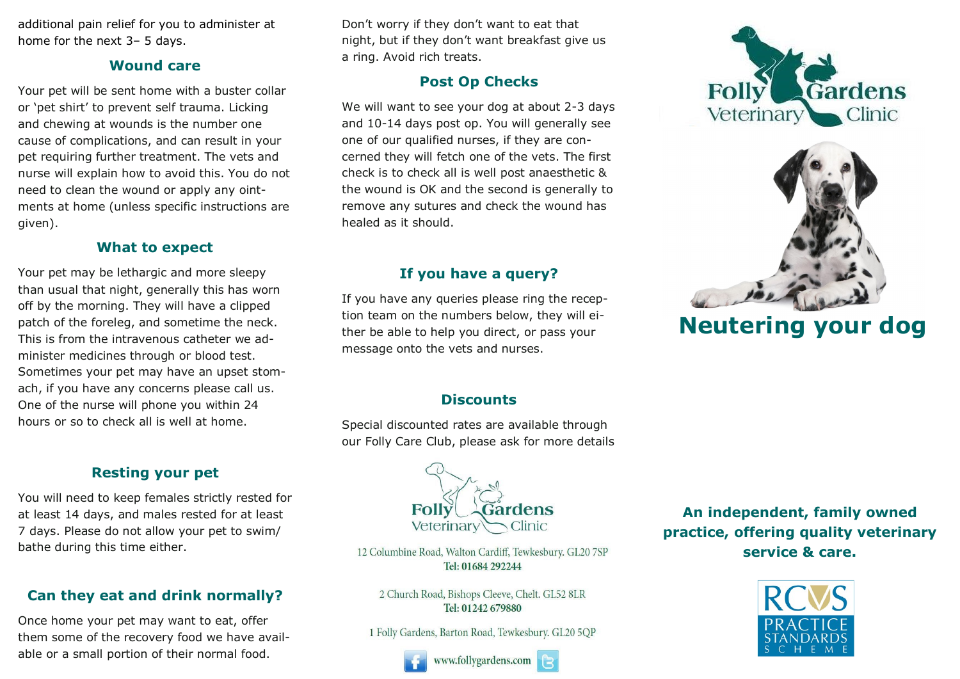additional pain relief for you to administer at home for the next 3– 5 days.

#### **Wound care**

Your pet will be sent home with a buster collar or 'pet shirt' to prevent self trauma. Licking and chewing at wounds is the number one cause of complications, and can result in your pet requiring further treatment. The vets and nurse will explain how to avoid this. You do not need to clean the wound or apply any ointments at home (unless specific instructions are given).

#### **What to expect**

Your pet may be lethargic and more sleepy than usual that night, generally this has worn off by the morning. They will have a clipped patch of the foreleg, and sometime the neck. This is from the intravenous catheter we administer medicines through or blood test. Sometimes your pet may have an upset stomach, if you have any concerns please call us. One of the nurse will phone you within 24 hours or so to check all is well at home.

## **Resting your pet**

You will need to keep females strictly rested for at least 14 days, and males rested for at least 7 days. Please do not allow your pet to swim/ bathe during this time either.

# **Can they eat and drink normally?**

Once home your pet may want to eat, offer them some of the recovery food we have available or a small portion of their normal food.

Don't worry if they don't want to eat that night, but if they don't want breakfast give us a ring. Avoid rich treats.

# **Post Op Checks**

We will want to see your dog at about 2-3 days and 10-14 days post op. You will generally see one of our qualified nurses, if they are concerned they will fetch one of the vets. The first check is to check all is well post anaesthetic & the wound is OK and the second is generally to remove any sutures and check the wound has healed as it should.

## **If you have a query?**

If you have any queries please ring the reception team on the numbers below, they will either be able to help you direct, or pass your message onto the vets and nurses.





# **Neutering your dog**

## **Discounts**

Special discounted rates are available through our Folly Care Club, please ask for more details



12 Columbine Road, Walton Cardiff, Tewkesbury. GL20 7SP Tel: 01684 292244

2 Church Road, Bishops Cleeve, Chelt. GL52 8LR Tel: 01242 679880

1 Folly Gardens, Barton Road, Tewkesbury. GL20 5OP



**An independent, family owned practice, offering quality veterinary service & care.**